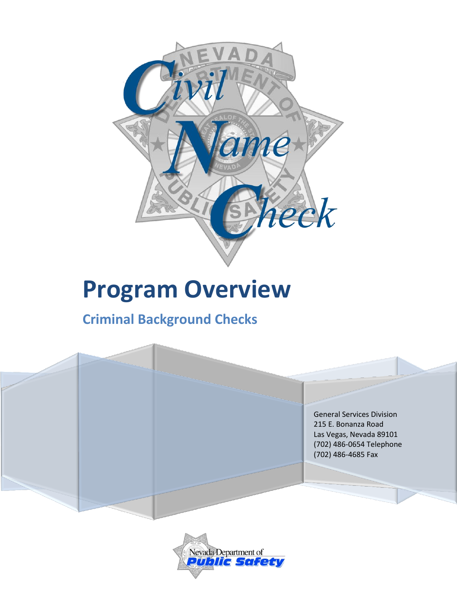

# **Program Overview**

## **Criminal Background Checks**

General Services Division 215 E. Bonanza Road Las Vegas, Nevada 89101 (702) 486-0654 Telephone (702) 486-4685 Fax

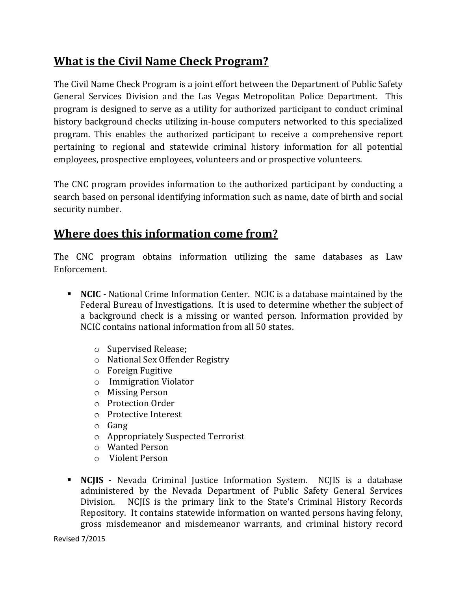#### **What is the Civil Name Check Program?**

The Civil Name Check Program is a joint effort between the Department of Public Safety General Services Division and the Las Vegas Metropolitan Police Department. This program is designed to serve as a utility for authorized participant to conduct criminal history background checks utilizing in-house computers networked to this specialized program. This enables the authorized participant to receive a comprehensive report pertaining to regional and statewide criminal history information for all potential employees, prospective employees, volunteers and or prospective volunteers.

The CNC program provides information to the authorized participant by conducting a search based on personal identifying information such as name, date of birth and social security number.

### **Where does this information come from?**

The CNC program obtains information utilizing the same databases as Law Enforcement.

- **NCIC**  National Crime Information Center. NCIC is a database maintained by the Federal Bureau of Investigations. It is used to determine whether the subject of a background check is a missing or wanted person. Information provided by NCIC contains national information from all 50 states.
	- o Supervised Release;
	- o National Sex Offender Registry
	- o Foreign Fugitive
	- o Immigration Violator
	- o Missing Person
	- o Protection Order
	- o Protective Interest
	- o Gang
	- o Appropriately Suspected Terrorist
	- o Wanted Person
	- o Violent Person
- **NCJIS** Nevada Criminal Justice Information System. NCJIS is a database administered by the Nevada Department of Public Safety General Services Division. NCJIS is the primary link to the State's Criminal History Records Repository. It contains statewide information on wanted persons having felony, gross misdemeanor and misdemeanor warrants, and criminal history record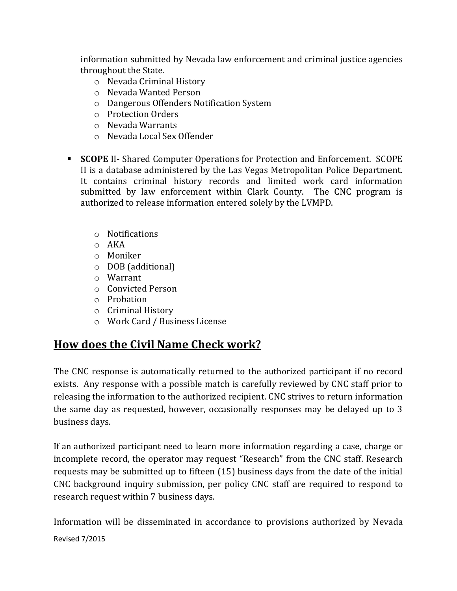information submitted by Nevada law enforcement and criminal justice agencies throughout the State.

- o Nevada Criminal History
- o Nevada Wanted Person
- o Dangerous Offenders Notification System
- o Protection Orders
- o Nevada Warrants
- o Nevada Local Sex Offender
- **SCOPE** II- Shared Computer Operations for Protection and Enforcement. SCOPE II is a database administered by the Las Vegas Metropolitan Police Department. It contains criminal history records and limited work card information submitted by law enforcement within Clark County. The CNC program is authorized to release information entered solely by the LVMPD.
	- o Notifications
	- o AKA
	- o Moniker
	- o DOB (additional)
	- o Warrant
	- o Convicted Person
	- o Probation
	- o Criminal History
	- o Work Card / Business License

#### **How does the Civil Name Check work?**

The CNC response is automatically returned to the authorized participant if no record exists. Any response with a possible match is carefully reviewed by CNC staff prior to releasing the information to the authorized recipient. CNC strives to return information the same day as requested, however, occasionally responses may be delayed up to 3 business days.

If an authorized participant need to learn more information regarding a case, charge or incomplete record, the operator may request "Research" from the CNC staff. Research requests may be submitted up to fifteen (15) business days from the date of the initial CNC background inquiry submission, per policy CNC staff are required to respond to research request within 7 business days.

Revised 7/2015 Information will be disseminated in accordance to provisions authorized by Nevada